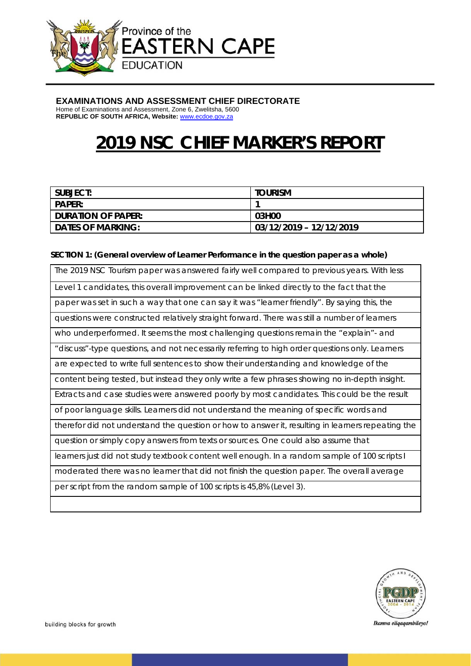

# **EXAMINATIONS AND ASSESSMENT CHIEF DIRECTORATE**

Home of Examinations and Assessment, Zone 6, Zwelitsha, 5600 **REPUBLIC OF SOUTH AFRICA, Website:** www.ecdoe.gov.za

# **2019 NSC CHIEF MARKER'S REPORT**

| I SUBJECT:               | <b>TOURISM</b>          |
|--------------------------|-------------------------|
| <b>PAPER:</b>            |                         |
| I DURATION OF PAPER:     | 03H00                   |
| <b>DATES OF MARKING:</b> | 03/12/2019 - 12/12/2019 |

## **SECTION 1: (General overview of Learner Performance in the question paper as a whole)**

| The 2019 NSC Tourism paper was answered fairly well compared to previous years. With less         |  |
|---------------------------------------------------------------------------------------------------|--|
|                                                                                                   |  |
| Level 1 candidates, this overall improvement can be linked directly to the fact that the          |  |
| paper was set in such a way that one can say it was "learner friendly". By saying this, the       |  |
| questions were constructed relatively straight forward. There was still a number of learners      |  |
| who underperformed. It seems the most challenging questions remain the "explain" - and            |  |
| "discuss"-type questions, and not necessarily referring to high order questions only. Learners    |  |
| are expected to write full sentences to show their understanding and knowledge of the             |  |
| content being tested, but instead they only write a few phrases showing no in-depth insight.      |  |
| Extracts and case studies were answered poorly by most candidates. This could be the result       |  |
| of poor language skills. Learners did not understand the meaning of specific words and            |  |
| therefor did not understand the question or how to answer it, resulting in learners repeating the |  |
| question or simply copy answers from texts or sources. One could also assume that                 |  |
| learners just did not study textbook content well enough. In a random sample of 100 scripts I     |  |
| moderated there was no learner that did not finish the question paper. The overall average        |  |
| per script from the random sample of 100 scripts is 45,8% (Level 3).                              |  |
|                                                                                                   |  |



Ikamva eliqaqambileyo!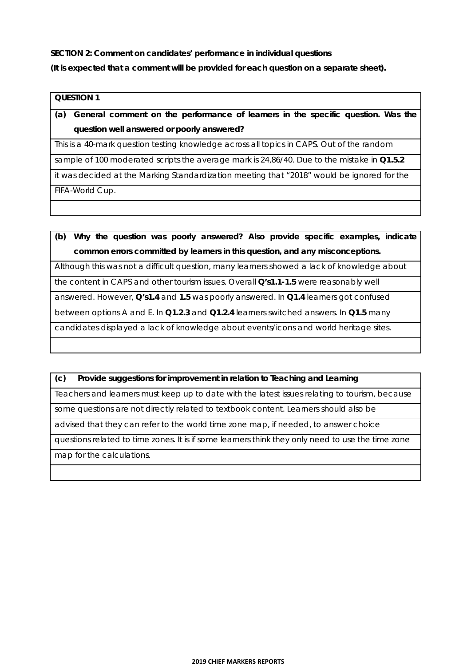**SECTION 2: Comment on candidates' performance in individual questions** 

**(It is expected that a comment will be provided for each question on a separate sheet).** 

#### **QUESTION 1**

**(a) General comment on the performance of learners in the specific question. Was the question well answered or poorly answered?** 

This is a 40-mark question testing knowledge across all topics in CAPS. Out of the random

sample of 100 moderated scripts the average mark is 24,86/40. Due to the mistake in **Q1.5.2**

it was decided at the Marking Standardization meeting that "2018" would be ignored for the

FIFA-World Cup.

**(b) Why the question was poorly answered? Also provide specific examples, indicate common errors committed by learners in this question, and any misconceptions.** 

Although this was not a difficult question, many learners showed a lack of knowledge about

the content in CAPS and other tourism issues. Overall **Q's1.1-1.5** were reasonably well

answered. However, **Q's1.4** and **1.5** was poorly answered. In **Q1.4** learners got confused

between options A and E. In **Q1.2.3** and **Q1.2.4** learners switched answers. In **Q1.5** many

candidates displayed a lack of knowledge about events/icons and world heritage sites.

# **(c) Provide suggestions for improvement in relation to Teaching and Learning**

Teachers and learners must keep up to date with the latest issues relating to tourism, because

some questions are not directly related to textbook content. Learners should also be

advised that they can refer to the world time zone map, if needed, to answer choice

questions related to time zones. It is if some learners think they only need to use the time zone

map for the calculations.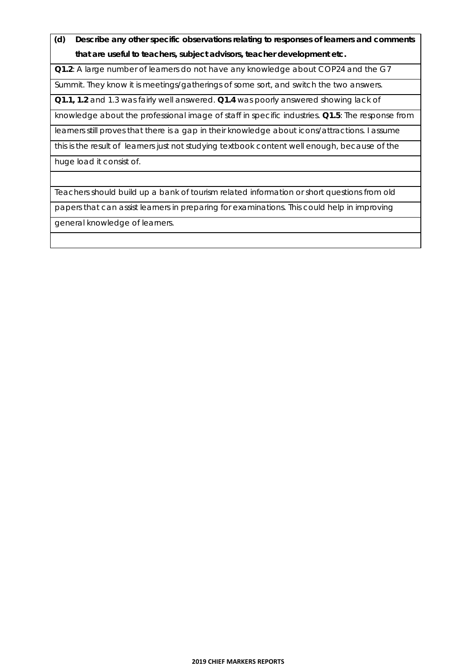**(d) Describe any other specific observations relating to responses of learners and comments that are useful to teachers, subject advisors, teacher development etc.**

**Q1.2**: A large number of learners do not have any knowledge about COP24 and the G7

Summit. They know it is meetings/gatherings of some sort, and switch the two answers.

**Q1.1, 1.2** and 1.3 was fairly well answered. **Q1.4** was poorly answered showing lack of

knowledge about the professional image of staff in specific industries. **Q1.5**: The response from

learners still proves that there is a gap in their knowledge about icons/attractions. I assume

this is the result of learners just not studying textbook content well enough, because of the

huge load it consist of.

Teachers should build up a bank of tourism related information or short questions from old

papers that can assist learners in preparing for examinations. This could help in improving

general knowledge of learners.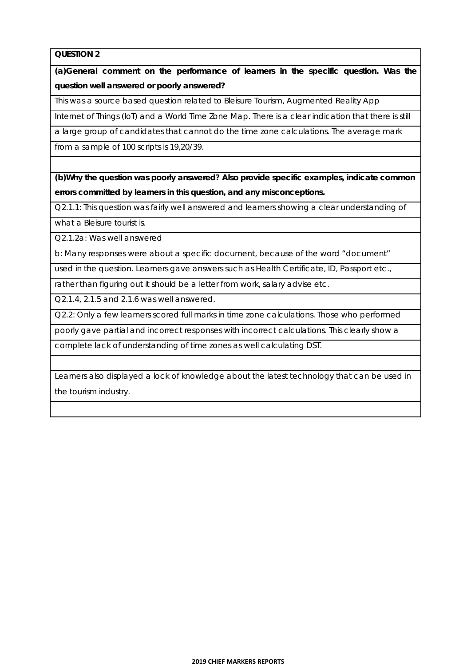**(a)General comment on the performance of learners in the specific question. Was the question well answered or poorly answered?** 

This was a source based question related to Bleisure Tourism, Augmented Reality App

Internet of Things (IoT) and a World Time Zone Map. There is a clear indication that there is still

a large group of candidates that cannot do the time zone calculations. The average mark

from a sample of 100 scripts is 19,20/39.

**(b)Why the question was poorly answered? Also provide specific examples, indicate common errors committed by learners in this question, and any misconceptions.** 

Q2.1.1: This question was fairly well answered and learners showing a clear understanding of

what a Bleisure tourist is.

Q2.1.2a: Was well answered

b: Many responses were about a specific document, because of the word "document"

used in the question. Learners gave answers such as Health Certificate, ID, Passport etc.,

rather than figuring out it should be a letter from work, salary advise etc.

Q2.1.4, 2.1.5 and 2.1.6 was well answered.

Q2.2: Only a few learners scored full marks in time zone calculations. Those who performed

poorly gave partial and incorrect responses with incorrect calculations. This clearly show a

complete lack of understanding of time zones as well calculating DST.

Learners also displayed a lock of knowledge about the latest technology that can be used in

the tourism industry.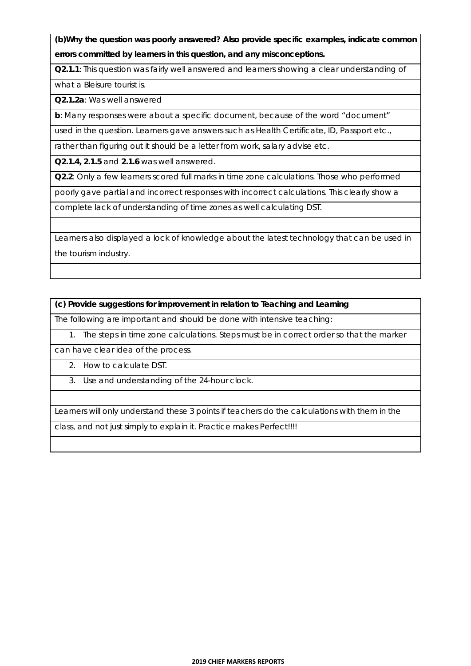**(b)Why the question was poorly answered? Also provide specific examples, indicate common errors committed by learners in this question, and any misconceptions.** 

**Q2.1.1**: This question was fairly well answered and learners showing a clear understanding of

what a Bleisure tourist is.

**Q2.1.2a**: Was well answered

**b**: Many responses were about a specific document, because of the word "document"

used in the question. Learners gave answers such as Health Certificate, ID, Passport etc.,

rather than figuring out it should be a letter from work, salary advise etc.

**Q2.1.4, 2.1.5** and **2.1.6** was well answered.

**Q2.2**: Only a few learners scored full marks in time zone calculations. Those who performed

poorly gave partial and incorrect responses with incorrect calculations. This clearly show a

complete lack of understanding of time zones as well calculating DST.

Learners also displayed a lock of knowledge about the latest technology that can be used in the tourism industry.

**(c) Provide suggestions for improvement in relation to Teaching and Learning** 

The following are important and should be done with intensive teaching:

1. The steps in time zone calculations. Steps must be in correct order so that the marker

can have clear idea of the process.

2. How to calculate DST.

3. Use and understanding of the 24-hour clock.

Learners will only understand these 3 points if teachers do the calculations with them in the

class, and not just simply to explain it. Practice makes Perfect!!!!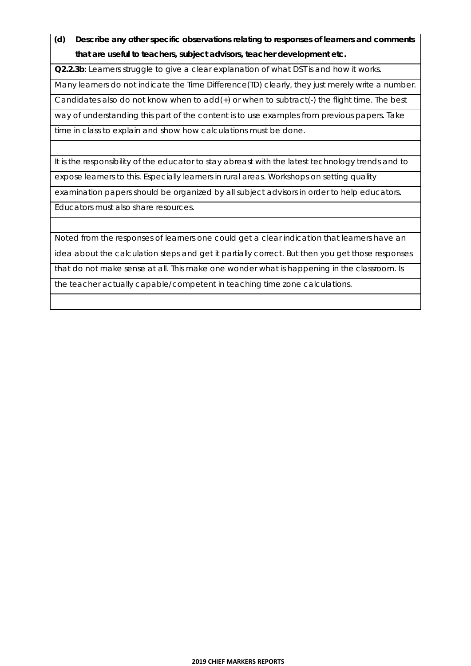**(d) Describe any other specific observations relating to responses of learners and comments that are useful to teachers, subject advisors, teacher development etc.** 

**Q2.2.3b**: Learners struggle to give a clear explanation of what DST is and how it works.

Many learners do not indicate the Time Difference(TD) clearly, they just merely write a number.

Candidates also do not know when to add(+) or when to subtract(-) the flight time. The best

way of understanding this part of the content is to use examples from previous papers. Take

time in class to explain and show how calculations must be done.

It is the responsibility of the educator to stay abreast with the latest technology trends and to expose learners to this. Especially learners in rural areas. Workshops on setting quality examination papers should be organized by all subject advisors in order to help educators. Educators must also share resources.

Noted from the responses of learners one could get a clear indication that learners have an

idea about the calculation steps and get it partially correct. But then you get those responses

that do not make sense at all. This make one wonder what is happening in the classroom. Is

the teacher actually capable/competent in teaching time zone calculations.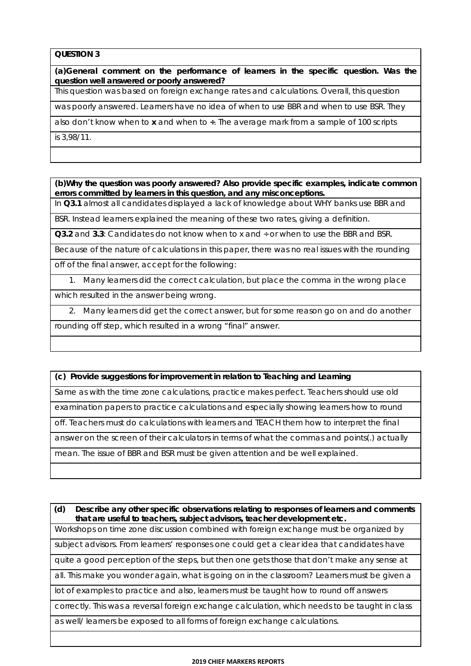**(a)General comment on the performance of learners in the specific question. Was the question well answered or poorly answered?** 

This question was based on foreign exchange rates and calculations. Overall, this question

was poorly answered. Learners have no idea of when to use BBR and when to use BSR. They

also don't know when to **x** and when to **÷**. The average mark from a sample of 100 scripts

is 3,98/11.

**(b)Why the question was poorly answered? Also provide specific examples, indicate common errors committed by learners in this question, and any misconceptions.** 

In **Q3.1** almost all candidates displayed a lack of knowledge about WHY banks use BBR and

BSR. Instead learners explained the meaning of these two rates, giving a definition.

**Q3.2** and **3.3**: Candidates do not know when to x and ÷ or when to use the BBR and BSR.

Because of the nature of calculations in this paper, there was no real issues with the rounding

off of the final answer, accept for the following:

1. Many learners did the correct calculation, but place the comma in the wrong place

which resulted in the answer being wrong.

2. Many learners did get the correct answer, but for some reason go on and do another

rounding off step, which resulted in a wrong "final" answer.

#### **(c) Provide suggestions for improvement in relation to Teaching and Learning**

Same as with the time zone calculations, practice makes perfect. Teachers should use old

examination papers to practice calculations and especially showing learners how to round

off. Teachers must do calculations with learners and TEACH them how to interpret the final

answer on the screen of their calculators in terms of what the commas and points(.) actually

mean. The issue of BBR and BSR must be given attention and be well explained.

**(d) Describe any other specific observations relating to responses of learners and comments that are useful to teachers, subject advisors, teacher development etc.** 

Workshops on time zone discussion combined with foreign exchange must be organized by

subject advisors. From learners' responses one could get a clear idea that candidates have

quite a good perception of the steps, but then one gets those that don't make any sense at

all. This make you wonder again, what is going on in the classroom? Learners must be given a

lot of examples to practice and also, learners must be taught how to round off answers

correctly. This was a reversal foreign exchange calculation, which needs to be taught in class

as well/ learners be exposed to all forms of foreign exchange calculations.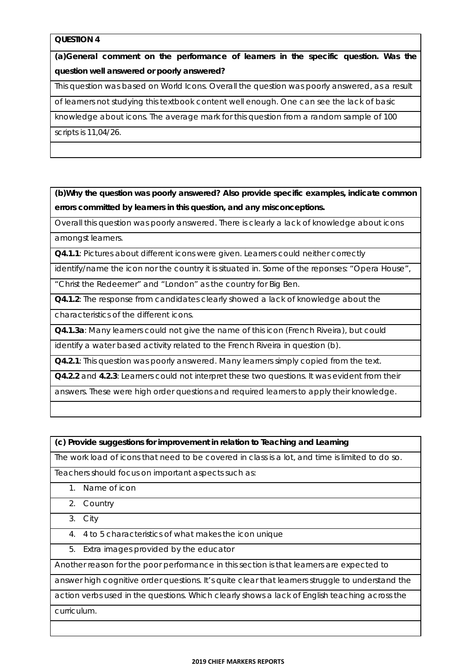**(a)General comment on the performance of learners in the specific question. Was the question well answered or poorly answered?** 

This question was based on World Icons. Overall the question was poorly answered, as a result

of learners not studying this textbook content well enough. One can see the lack of basic

knowledge about icons. The average mark for this question from a random sample of 100

scripts is 11,04/26.

**(b)Why the question was poorly answered? Also provide specific examples, indicate common errors committed by learners in this question, and any misconceptions.** 

Overall this question was poorly answered. There is clearly a lack of knowledge about icons

amongst learners.

**Q4.1.1**: Pictures about different icons were given. Learners could neither correctly

identify/name the icon nor the country it is situated in. Some of the reponses: "Opera House",

"Christ the Redeemer" and "London" as the country for Big Ben.

**Q4.1.2**: The response from candidates clearly showed a lack of knowledge about the

characteristics of the different icons.

**Q4.1.3a**: Many learners could not give the name of this icon (French Riveira), but could

identify a water based activity related to the French Riveira in question (b).

**Q4.2.1**: This question was poorly answered. Many learners simply copied from the text.

**Q4.2.2** and **4.2.3**: Learners could not interpret these two questions. It was evident from their

answers. These were high order questions and required learners to apply their knowledge.

**(c) Provide suggestions for improvement in relation to Teaching and Learning** 

The work load of icons that need to be covered in class is a lot, and time is limited to do so.

Teachers should focus on important aspects such as:

- 1. Name of icon
- 2. Country
- 3. City
- 4. 4 to 5 characteristics of what makes the icon unique
- 5. Extra images provided by the educator

Another reason for the poor performance in this section is that learners are expected to

answer high cognitive order questions. It's quite clear that learners struggle to understand the

action verbs used in the questions. Which clearly shows a lack of English teaching across the curriculum.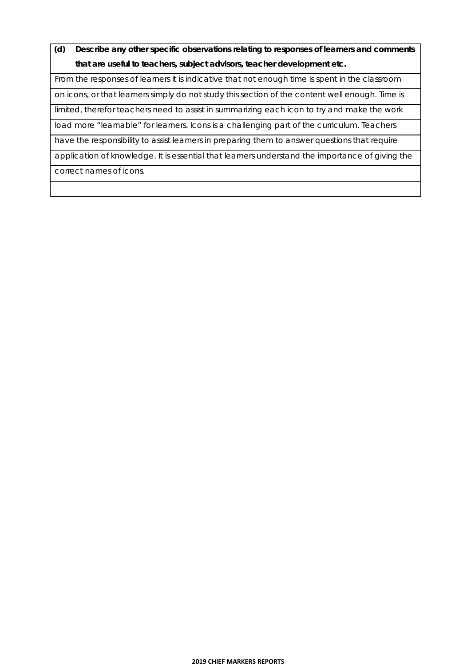**(d) Describe any other specific observations relating to responses of learners and comments that are useful to teachers, subject advisors, teacher development etc.** 

From the responses of learners it is indicative that not enough time is spent in the classroom

on icons, or that learners simply do not study this section of the content well enough. Time is

limited, therefor teachers need to assist in summarizing each icon to try and make the work

load more "learnable" for learners. Icons is a challenging part of the curriculum. Teachers

have the responsibility to assist learners in preparing them to answer questions that require

application of knowledge. It is essential that learners understand the importance of giving the correct names of icons.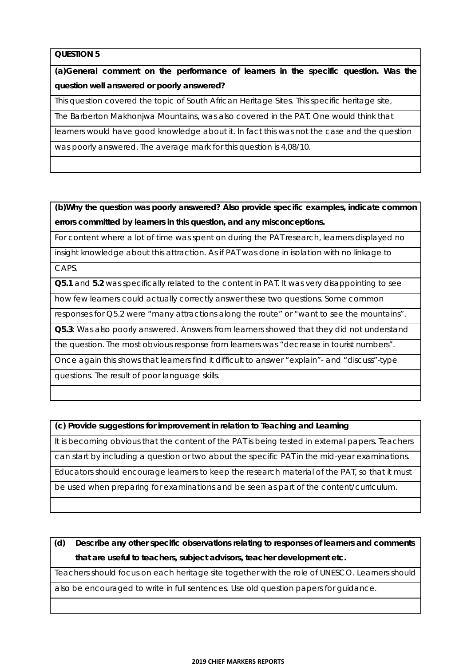**(a)General comment on the performance of learners in the specific question. Was the question well answered or poorly answered?** 

This question covered the topic of South African Heritage Sites. This specific heritage site,

The Barberton Makhonjwa Mountains, was also covered in the PAT. One would think that

learners would have good knowledge about it. In fact this was not the case and the question

was poorly answered. The average mark for this question is 4,08/10.

**(b)Why the question was poorly answered? Also provide specific examples, indicate common errors committed by learners in this question, and any misconceptions.** 

For content where a lot of time was spent on during the PAT research, learners displayed no

insight knowledge about this attraction. As if PAT was done in isolation with no linkage to CAPS.

**Q5.1** and **5.2** was specifically related to the content in PAT. It was very disappointing to see

how few learners could actually correctly answer these two questions. Some common

responses for Q5.2 were "many attractions along the route" or "want to see the mountains".

**Q5.3**: Was also poorly answered. Answers from learners showed that they did not understand

the question. The most obvious response from learners was "decrease in tourist numbers".

Once again this shows that learners find it difficult to answer "explain"- and "discuss"-type

questions. The result of poor language skills.

**(c) Provide suggestions for improvement in relation to Teaching and Learning** 

It is becoming obvious that the content of the PAT is being tested in external papers. Teachers can start by including a question or two about the specific PAT in the mid-year examinations. Educators should encourage learners to keep the research material of the PAT, so that it must

be used when preparing for examinations and be seen as part of the content/curriculum.

**(d) Describe any other specific observations relating to responses of learners and comments that are useful to teachers, subject advisors, teacher development etc.** 

Teachers should focus on each heritage site together with the role of UNESCO. Learners should

also be encouraged to write in full sentences. Use old question papers for guidance.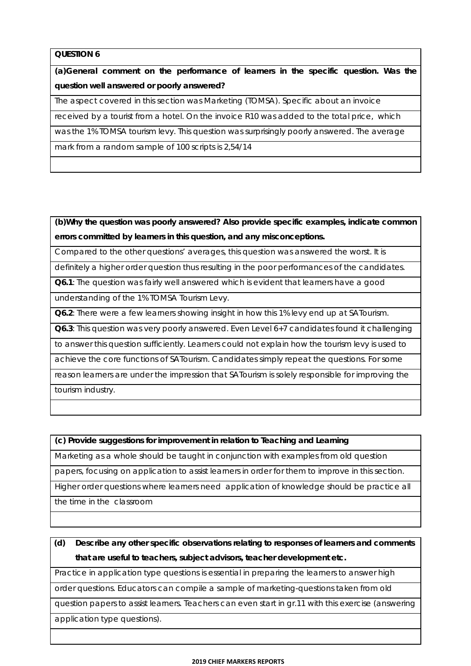**(a)General comment on the performance of learners in the specific question. Was the question well answered or poorly answered?** 

The aspect covered in this section was Marketing (TOMSA). Specific about an invoice

received by a tourist from a hotel. On the invoice R10 was added to the total price, which

was the 1% TOMSA tourism levy. This question was surprisingly poorly answered. The average

mark from a random sample of 100 scripts is 2,54/14

**(b)Why the question was poorly answered? Also provide specific examples, indicate common errors committed by learners in this question, and any misconceptions.** 

Compared to the other questions' averages, this question was answered the worst. It is

definitely a higher order question thus resulting in the poor performances of the candidates.

**Q6.1**: The question was fairly well answered which is evident that learners have a good

understanding of the 1% TOMSA Tourism Levy.

**Q6.2**: There were a few learners showing insight in how this 1% levy end up at SATourism.

**Q6.3**: This question was very poorly answered. Even Level 6+7 candidates found it challenging

to answer this question sufficiently. Learners could not explain how the tourism levy is used to

achieve the core functions of SATourism. Candidates simply repeat the questions. For some

reason learners are under the impression that SATourism is solely responsible for improving the tourism industry.

**(c) Provide suggestions for improvement in relation to Teaching and Learning** 

Marketing as a whole should be taught in conjunction with examples from old question

papers, focusing on application to assist learners in order for them to improve in this section.

Higher order questions where learners need application of knowledge should be practice all the time in the classroom

**(d) Describe any other specific observations relating to responses of learners and comments that are useful to teachers, subject advisors, teacher development etc.** 

Practice in application type questions is essential in preparing the learners to answer high

order questions. Educators can compile a sample of marketing-questions taken from old

question papers to assist learners. Teachers can even start in gr.11 with this exercise (answering application type questions).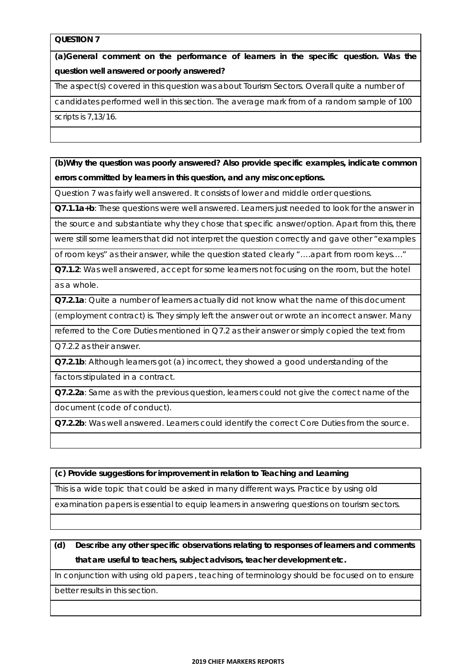**(a)General comment on the performance of learners in the specific question. Was the question well answered or poorly answered?** 

The aspect(s) covered in this question was about Tourism Sectors. Overall quite a number of

candidates performed well in this section. The average mark from of a random sample of 100

scripts is 7,13/16.

**(b)Why the question was poorly answered? Also provide specific examples, indicate common errors committed by learners in this question, and any misconceptions.** 

Question 7 was fairly well answered. It consists of lower and middle order questions.

**Q7.1.1a+b**: These questions were well answered. Learners just needed to look for the answer in

the source and substantiate why they chose that specific answer/option. Apart from this, there

were still some learners that did not interpret the question correctly and gave other "examples

of room keys" as their answer, while the question stated clearly "….apart from room keys…."

**Q7.1.2**: Was well answered, accept for some learners not focusing on the room, but the hotel as a whole.

**Q7.2.1a**: Quite a number of learners actually did not know what the name of this document

(employment contract) is. They simply left the answer out or wrote an incorrect answer. Many

referred to the Core Duties mentioned in Q7.2 as their answer or simply copied the text from Q7.2.2 as their answer.

**Q7.2.1b**: Although learners got (a) incorrect, they showed a good understanding of the

factors stipulated in a contract.

**Q7.2.2a**: Same as with the previous question, learners could not give the correct name of the document (code of conduct).

Q7.2.2b: Was well answered. Learners could identify the correct Core Duties from the source.

**(c) Provide suggestions for improvement in relation to Teaching and Learning** 

This is a wide topic that could be asked in many different ways. Practice by using old

examination papers is essential to equip learners in answering questions on tourism sectors.

**(d) Describe any other specific observations relating to responses of learners and comments that are useful to teachers, subject advisors, teacher development etc.** 

In conjunction with using old papers , teaching of terminology should be focused on to ensure

better results in this section.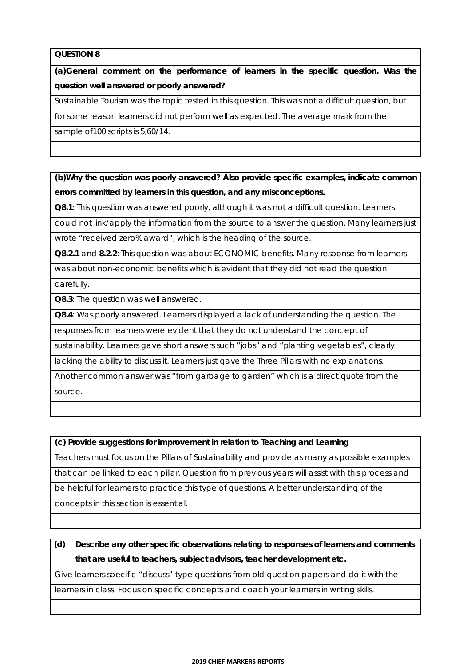**(a)General comment on the performance of learners in the specific question. Was the question well answered or poorly answered?** 

Sustainable Tourism was the topic tested in this question. This was not a difficult question, but

for some reason learners did not perform well as expected. The average mark from the

sample of100 scripts is 5,60/14.

**(b)Why the question was poorly answered? Also provide specific examples, indicate common errors committed by learners in this question, and any misconceptions.** 

**Q8.1**: This question was answered poorly, although it was not a difficult question. Learners

could not link/apply the information from the source to answer the question. Many learners just wrote "received zero% award", which is the heading of the source.

**Q8.2.1** and **8.2.2**: This question was about ECONOMIC benefits. Many response from learners

was about non-economic benefits which is evident that they did not read the question carefully.

**Q8.3**: The question was well answered.

**Q8.4**: Was poorly answered. Learners displayed a lack of understanding the question. The

responses from learners were evident that they do not understand the concept of

sustainability. Learners gave short answers such "jobs" and "planting vegetables", clearly

lacking the ability to discuss it. Learners just gave the Three Pillars with no explanations.

Another common answer was "from garbage to garden" which is a direct quote from the source.

**(c) Provide suggestions for improvement in relation to Teaching and Learning** 

Teachers must focus on the Pillars of Sustainability and provide as many as possible examples

that can be linked to each pillar. Question from previous years will assist with this process and

be helpful for learners to practice this type of questions. A better understanding of the

concepts in this section is essential.

**(d) Describe any other specific observations relating to responses of learners and comments that are useful to teachers, subject advisors, teacher development etc.** 

Give learners specific "discuss"-type questions from old question papers and do it with the

learners in class. Focus on specific concepts and coach your learners in writing skills.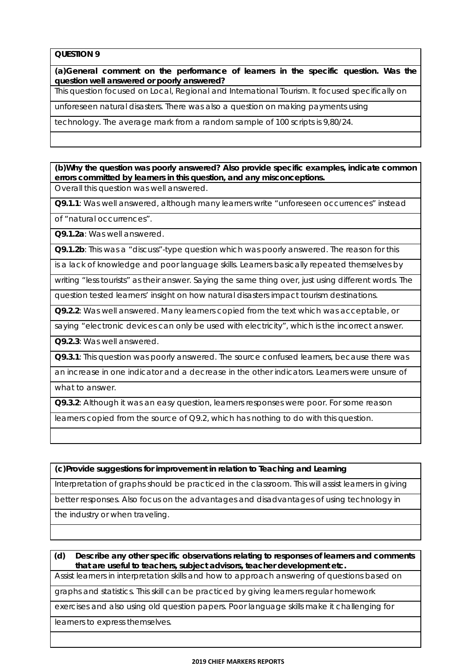**(a)General comment on the performance of learners in the specific question. Was the question well answered or poorly answered?** 

This question focused on Local, Regional and International Tourism. It focused specifically on

unforeseen natural disasters. There was also a question on making payments using

technology. The average mark from a random sample of 100 scripts is 9,80/24.

**(b)Why the question was poorly answered? Also provide specific examples, indicate common errors committed by learners in this question, and any misconceptions.**  Overall this question was well answered.

**Q9.1.1**: Was well answered, although many learners write "unforeseen occurrences" instead

of "natural occurrences".

**Q9.1.2a**: Was well answered.

**Q9.1.2b**: This was a "discuss"-type question which was poorly answered. The reason for this

is a lack of knowledge and poor language skills. Learners basically repeated themselves by

writing "less tourists" as their answer. Saying the same thing over, just using different words. The

question tested learners' insight on how natural disasters impact tourism destinations.

**Q9.2.2**: Was well answered. Many learners copied from the text which was acceptable, or

saying "electronic devices can only be used with electricity", which is the incorrect answer.

**Q9.2.3**: Was well answered.

**Q9.3.1**: This question was poorly answered. The source confused learners, because there was

an increase in one indicator and a decrease in the other indicators. Learners were unsure of

what to answer.

**Q9.3.2**: Although it was an easy question, learners responses were poor. For some reason

learners copied from the source of Q9.2, which has nothing to do with this question.

**(c)Provide suggestions for improvement in relation to Teaching and Learning** 

Interpretation of graphs should be practiced in the classroom. This will assist learners in giving

better responses. Also focus on the advantages and disadvantages of using technology in

the industry or when traveling.

**(d) Describe any other specific observations relating to responses of learners and comments that are useful to teachers, subject advisors, teacher development etc.** 

Assist learners in interpretation skills and how to approach answering of questions based on

graphs and statistics. This skill can be practiced by giving learners regular homework

exercises and also using old question papers. Poor language skills make it challenging for

learners to express themselves.